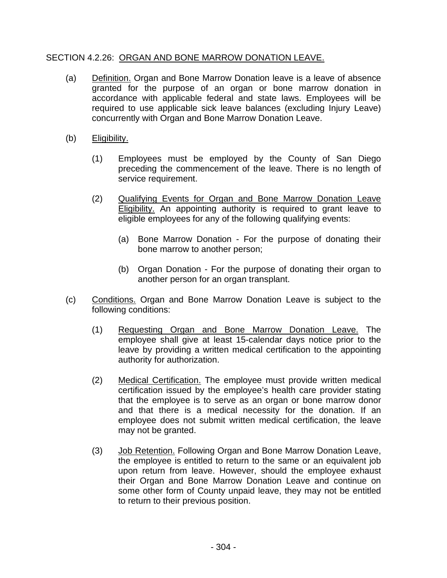## SECTION 4.2.26: ORGAN AND BONE MARROW DONATION LEAVE.

- (a) Definition. Organ and Bone Marrow Donation leave is a leave of absence granted for the purpose of an organ or bone marrow donation in accordance with applicable federal and state laws. Employees will be required to use applicable sick leave balances (excluding Injury Leave) concurrently with Organ and Bone Marrow Donation Leave.
- (b) Eligibility.
	- (1) Employees must be employed by the County of San Diego preceding the commencement of the leave. There is no length of service requirement.
	- (2) Qualifying Events for Organ and Bone Marrow Donation Leave Eligibility. An appointing authority is required to grant leave to eligible employees for any of the following qualifying events:
		- (a) Bone Marrow Donation For the purpose of donating their bone marrow to another person;
		- (b) Organ Donation For the purpose of donating their organ to another person for an organ transplant.
- (c) Conditions. Organ and Bone Marrow Donation Leave is subject to the following conditions:
	- (1) Requesting Organ and Bone Marrow Donation Leave. The employee shall give at least 15-calendar days notice prior to the leave by providing a written medical certification to the appointing authority for authorization.
	- (2) Medical Certification. The employee must provide written medical certification issued by the employee's health care provider stating that the employee is to serve as an organ or bone marrow donor and that there is a medical necessity for the donation. If an employee does not submit written medical certification, the leave may not be granted.
	- (3) Job Retention. Following Organ and Bone Marrow Donation Leave, the employee is entitled to return to the same or an equivalent job upon return from leave. However, should the employee exhaust their Organ and Bone Marrow Donation Leave and continue on some other form of County unpaid leave, they may not be entitled to return to their previous position.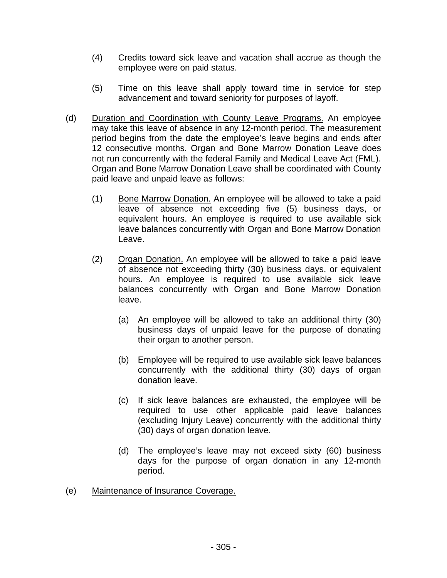- (4) Credits toward sick leave and vacation shall accrue as though the employee were on paid status.
- (5) Time on this leave shall apply toward time in service for step advancement and toward seniority for purposes of layoff.
- (d) Duration and Coordination with County Leave Programs. An employee may take this leave of absence in any 12-month period. The measurement period begins from the date the employee's leave begins and ends after 12 consecutive months. Organ and Bone Marrow Donation Leave does not run concurrently with the federal Family and Medical Leave Act (FML). Organ and Bone Marrow Donation Leave shall be coordinated with County paid leave and unpaid leave as follows:
	- (1) Bone Marrow Donation. An employee will be allowed to take a paid leave of absence not exceeding five (5) business days, or equivalent hours. An employee is required to use available sick leave balances concurrently with Organ and Bone Marrow Donation Leave.
	- (2) Organ Donation. An employee will be allowed to take a paid leave of absence not exceeding thirty (30) business days, or equivalent hours. An employee is required to use available sick leave balances concurrently with Organ and Bone Marrow Donation leave.
		- (a) An employee will be allowed to take an additional thirty (30) business days of unpaid leave for the purpose of donating their organ to another person.
		- (b) Employee will be required to use available sick leave balances concurrently with the additional thirty (30) days of organ donation leave.
		- (c) If sick leave balances are exhausted, the employee will be required to use other applicable paid leave balances (excluding Injury Leave) concurrently with the additional thirty (30) days of organ donation leave.
		- (d) The employee's leave may not exceed sixty (60) business days for the purpose of organ donation in any 12-month period.
- (e) Maintenance of Insurance Coverage.